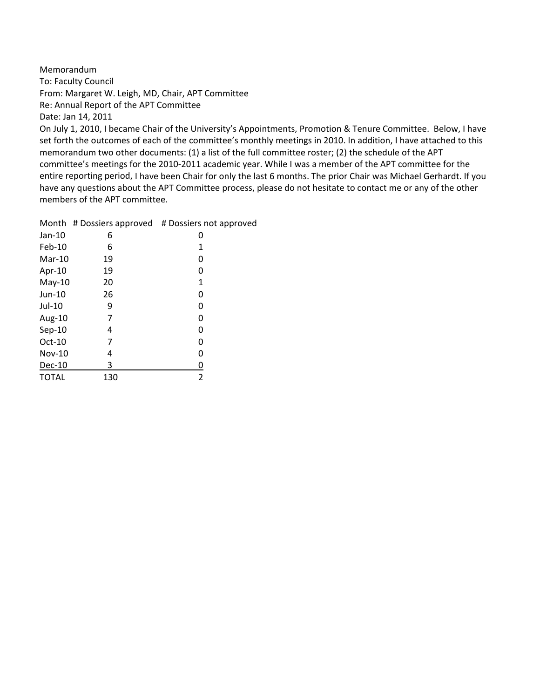Memorandum To: Faculty Council From: Margaret W. Leigh, MD, Chair, APT Committee Re: Annual Report of the APT Committee Date: Jan 14, 2011

On July 1, 2010, I became Chair of the University's Appointments, Promotion & Tenure Committee. Below, I have set forth the outcomes of each of the committee's monthly meetings in 2010. In addition, I have attached to this memorandum two other documents: (1) a list of the full committee roster; (2) the schedule of the APT committee's meetings for the 2010‐2011 academic year. While I was a member of the APT committee for the entire reporting period, I have been Chair for only the last 6 months. The prior Chair was Michael Gerhardt. If you have any questions about the APT Committee process, please do not hesitate to contact me or any of the other members of the APT committee.

|              | Month # Dossiers approved | # Dossiers not approved |
|--------------|---------------------------|-------------------------|
| $Jan-10$     | 6                         | 0                       |
| Feb-10       | 6                         | 1                       |
| $Mar-10$     | 19                        | 0                       |
| Apr-10       | 19                        | 0                       |
| $May-10$     | 20                        | 1                       |
| Jun-10       | 26                        | 0                       |
| Jul-10       | 9                         | 0                       |
| Aug-10       | 7                         | 0                       |
| $Sep-10$     | 4                         | 0                       |
| $Oct-10$     | 7                         | 0                       |
| Nov-10       | 4                         | 0                       |
| $Dec-10$     | 3                         | 0                       |
| <b>TOTAL</b> | 130                       | 2                       |
|              |                           |                         |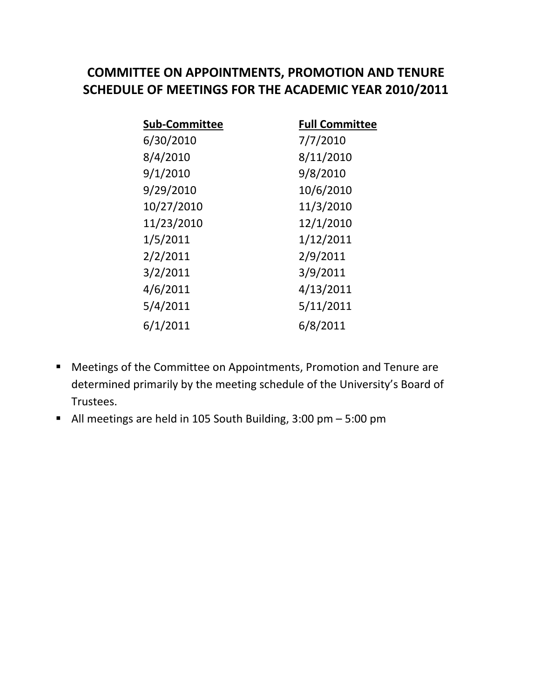## **COMMITTEE ON APPOINTMENTS, PROMOTION AND TENURE SCHEDULE OF MEETINGS FOR THE ACADEMIC YEAR 2010/2011**

| <b>Sub-Committee</b> | <b>Full Committee</b> |
|----------------------|-----------------------|
| 6/30/2010            | 7/7/2010              |
| 8/4/2010             | 8/11/2010             |
| 9/1/2010             | 9/8/2010              |
| 9/29/2010            | 10/6/2010             |
| 10/27/2010           | 11/3/2010             |
| 11/23/2010           | 12/1/2010             |
| 1/5/2011             | 1/12/2011             |
| 2/2/2011             | 2/9/2011              |
| 3/2/2011             | 3/9/2011              |
| 4/6/2011             | 4/13/2011             |
| 5/4/2011             | 5/11/2011             |
| 6/1/2011             | 6/8/2011              |

- Meetings of the Committee on Appointments, Promotion and Tenure are determined primarily by the meeting schedule of the University's Board of Trustees.
- All meetings are held in 105 South Building, 3:00 pm 5:00 pm